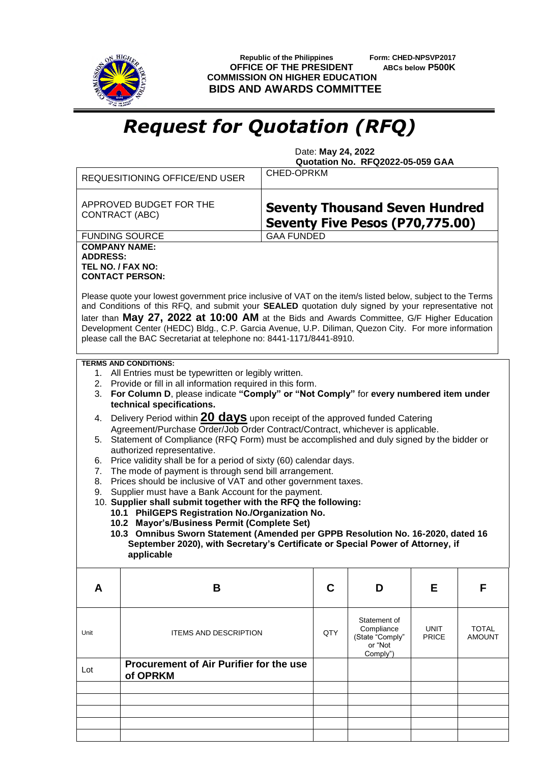

 **Republic of the Philippines Form: CHED-NPSVP2017 OFFICE OF THE PRESIDENT ABCs below P500K COMMISSION ON HIGHER EDUCATION BIDS AND AWARDS COMMITTEE**

## *Request for Quotation (RFQ)*

 Date: **May 24, 2022 Quotation No. RFQ2022-05-059 GAA**

|                                                                                                                                                                                  | REQUESITIONING OFFICE/END USER                                                                                                                                                                                                                                                                                                                                                                                                                                                                    | <b>CHED-OPRKM</b>                                                        |                            |              |               |  |  |  |  |
|----------------------------------------------------------------------------------------------------------------------------------------------------------------------------------|---------------------------------------------------------------------------------------------------------------------------------------------------------------------------------------------------------------------------------------------------------------------------------------------------------------------------------------------------------------------------------------------------------------------------------------------------------------------------------------------------|--------------------------------------------------------------------------|----------------------------|--------------|---------------|--|--|--|--|
|                                                                                                                                                                                  | APPROVED BUDGET FOR THE<br><b>CONTRACT (ABC)</b>                                                                                                                                                                                                                                                                                                                                                                                                                                                  | <b>Seventy Thousand Seven Hundred</b><br>Seventy Five Pesos (P70,775.00) |                            |              |               |  |  |  |  |
|                                                                                                                                                                                  | <b>FUNDING SOURCE</b>                                                                                                                                                                                                                                                                                                                                                                                                                                                                             | <b>GAA FUNDED</b>                                                        |                            |              |               |  |  |  |  |
| <b>COMPANY NAME:</b>                                                                                                                                                             |                                                                                                                                                                                                                                                                                                                                                                                                                                                                                                   |                                                                          |                            |              |               |  |  |  |  |
| <b>ADDRESS:</b><br>TEL NO. / FAX NO:                                                                                                                                             |                                                                                                                                                                                                                                                                                                                                                                                                                                                                                                   |                                                                          |                            |              |               |  |  |  |  |
|                                                                                                                                                                                  | <b>CONTACT PERSON:</b>                                                                                                                                                                                                                                                                                                                                                                                                                                                                            |                                                                          |                            |              |               |  |  |  |  |
|                                                                                                                                                                                  | Please quote your lowest government price inclusive of VAT on the item/s listed below, subject to the Terms<br>and Conditions of this RFQ, and submit your SEALED quotation duly signed by your representative not<br>later than May 27, 2022 at 10:00 AM at the Bids and Awards Committee, G/F Higher Education<br>Development Center (HEDC) Bldg., C.P. Garcia Avenue, U.P. Diliman, Quezon City. For more information<br>please call the BAC Secretariat at telephone no: 8441-1171/8441-8910. |                                                                          |                            |              |               |  |  |  |  |
|                                                                                                                                                                                  | <b>TERMS AND CONDITIONS:</b>                                                                                                                                                                                                                                                                                                                                                                                                                                                                      |                                                                          |                            |              |               |  |  |  |  |
| 1. All Entries must be typewritten or legibly written.                                                                                                                           |                                                                                                                                                                                                                                                                                                                                                                                                                                                                                                   |                                                                          |                            |              |               |  |  |  |  |
|                                                                                                                                                                                  | 2. Provide or fill in all information required in this form.<br>For Column D, please indicate "Comply" or "Not Comply" for every numbered item under                                                                                                                                                                                                                                                                                                                                              |                                                                          |                            |              |               |  |  |  |  |
|                                                                                                                                                                                  | 3.<br>technical specifications.                                                                                                                                                                                                                                                                                                                                                                                                                                                                   |                                                                          |                            |              |               |  |  |  |  |
| 4.                                                                                                                                                                               | Delivery Period within 20 days upon receipt of the approved funded Catering                                                                                                                                                                                                                                                                                                                                                                                                                       |                                                                          |                            |              |               |  |  |  |  |
| Agreement/Purchase Order/Job Order Contract/Contract, whichever is applicable.<br>Statement of Compliance (RFQ Form) must be accomplished and duly signed by the bidder or<br>5. |                                                                                                                                                                                                                                                                                                                                                                                                                                                                                                   |                                                                          |                            |              |               |  |  |  |  |
|                                                                                                                                                                                  | authorized representative.                                                                                                                                                                                                                                                                                                                                                                                                                                                                        |                                                                          |                            |              |               |  |  |  |  |
| Price validity shall be for a period of sixty (60) calendar days.<br>6.                                                                                                          |                                                                                                                                                                                                                                                                                                                                                                                                                                                                                                   |                                                                          |                            |              |               |  |  |  |  |
| The mode of payment is through send bill arrangement.<br>7.                                                                                                                      |                                                                                                                                                                                                                                                                                                                                                                                                                                                                                                   |                                                                          |                            |              |               |  |  |  |  |
| Prices should be inclusive of VAT and other government taxes.<br>8.                                                                                                              |                                                                                                                                                                                                                                                                                                                                                                                                                                                                                                   |                                                                          |                            |              |               |  |  |  |  |
| Supplier must have a Bank Account for the payment.<br>9.<br>10. Supplier shall submit together with the RFQ the following:                                                       |                                                                                                                                                                                                                                                                                                                                                                                                                                                                                                   |                                                                          |                            |              |               |  |  |  |  |
|                                                                                                                                                                                  | 10.1 PhilGEPS Registration No./Organization No.                                                                                                                                                                                                                                                                                                                                                                                                                                                   |                                                                          |                            |              |               |  |  |  |  |
|                                                                                                                                                                                  | 10.2 Mayor's/Business Permit (Complete Set)                                                                                                                                                                                                                                                                                                                                                                                                                                                       |                                                                          |                            |              |               |  |  |  |  |
|                                                                                                                                                                                  | 10.3 Omnibus Sworn Statement (Amended per GPPB Resolution No. 16-2020, dated 16                                                                                                                                                                                                                                                                                                                                                                                                                   |                                                                          |                            |              |               |  |  |  |  |
|                                                                                                                                                                                  | September 2020), with Secretary's Certificate or Special Power of Attorney, if<br>applicable                                                                                                                                                                                                                                                                                                                                                                                                      |                                                                          |                            |              |               |  |  |  |  |
|                                                                                                                                                                                  |                                                                                                                                                                                                                                                                                                                                                                                                                                                                                                   |                                                                          |                            |              |               |  |  |  |  |
| A                                                                                                                                                                                | B                                                                                                                                                                                                                                                                                                                                                                                                                                                                                                 | C                                                                        | D                          | Е            | F             |  |  |  |  |
|                                                                                                                                                                                  |                                                                                                                                                                                                                                                                                                                                                                                                                                                                                                   |                                                                          |                            |              |               |  |  |  |  |
| Unit                                                                                                                                                                             | <b>ITEMS AND DESCRIPTION</b>                                                                                                                                                                                                                                                                                                                                                                                                                                                                      | QTY                                                                      | Statement of<br>Compliance | <b>UNIT</b>  | <b>TOTAL</b>  |  |  |  |  |
|                                                                                                                                                                                  |                                                                                                                                                                                                                                                                                                                                                                                                                                                                                                   |                                                                          | (State "Comply"<br>or "Not | <b>PRICE</b> | <b>AMOUNT</b> |  |  |  |  |
|                                                                                                                                                                                  |                                                                                                                                                                                                                                                                                                                                                                                                                                                                                                   |                                                                          | Comply")                   |              |               |  |  |  |  |
| Lot                                                                                                                                                                              | Procurement of Air Purifier for the use<br>of OPRKM                                                                                                                                                                                                                                                                                                                                                                                                                                               |                                                                          |                            |              |               |  |  |  |  |
|                                                                                                                                                                                  |                                                                                                                                                                                                                                                                                                                                                                                                                                                                                                   |                                                                          |                            |              |               |  |  |  |  |
|                                                                                                                                                                                  |                                                                                                                                                                                                                                                                                                                                                                                                                                                                                                   |                                                                          |                            |              |               |  |  |  |  |
|                                                                                                                                                                                  |                                                                                                                                                                                                                                                                                                                                                                                                                                                                                                   |                                                                          |                            |              |               |  |  |  |  |
|                                                                                                                                                                                  |                                                                                                                                                                                                                                                                                                                                                                                                                                                                                                   |                                                                          |                            |              |               |  |  |  |  |
|                                                                                                                                                                                  |                                                                                                                                                                                                                                                                                                                                                                                                                                                                                                   |                                                                          |                            |              |               |  |  |  |  |